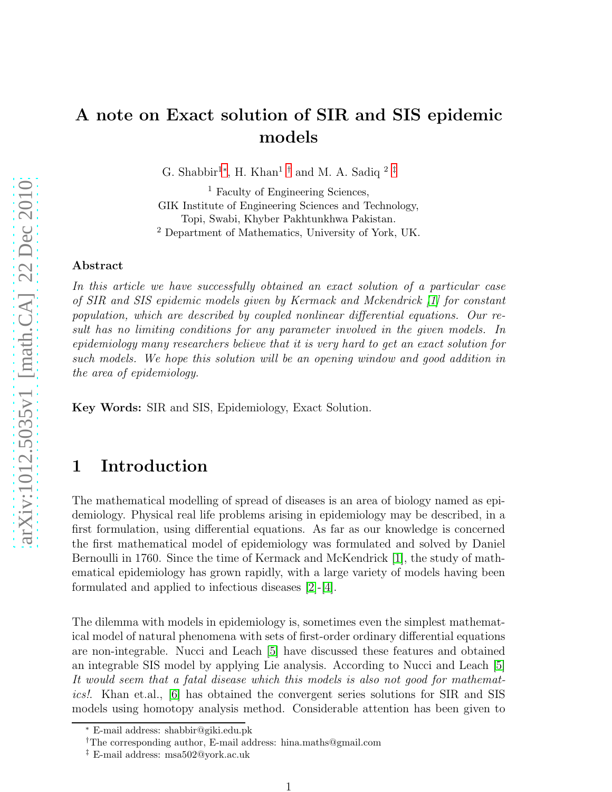# A note on Exact solution of SIR and SIS epidemic models

G. Shabbir<sup>1\*</sup>, H. Khan<sup>1[†](#page-0-1)</sup> and M. A. Sadiq<sup>2[‡](#page-0-2)</sup>

<sup>1</sup> Faculty of Engineering Sciences, GIK Institute of Engineering Sciences and Technology, Topi, Swabi, Khyber Pakhtunkhwa Pakistan. <sup>2</sup> Department of Mathematics, University of York, UK.

#### Abstract

In this article we have successfully obtained an exact solution of a particular case of SIR and SIS epidemic models given by Kermack and Mckendrick [\[1\]](#page-4-0) for constant population, which are described by coupled nonlinear differential equations. Our result has no limiting conditions for any parameter involved in the given models. In epidemiology many researchers believe that it is very hard to get an exact solution for such models. We hope this solution will be an opening window and good addition in the area of epidemiology.

Key Words: SIR and SIS, Epidemiology, Exact Solution.

## 1 Introduction

The mathematical modelling of spread of diseases is an area of biology named as epidemiology. Physical real life problems arising in epidemiology may be described, in a first formulation, using differential equations. As far as our knowledge is concerned the first mathematical model of epidemiology was formulated and solved by Daniel Bernoulli in 1760. Since the time of Kermack and McKendrick [\[1\]](#page-4-0), the study of mathematical epidemiology has grown rapidly, with a large variety of models having been formulated and applied to infectious diseases [\[2\]](#page-4-1)-[\[4\]](#page-4-2).

The dilemma with models in epidemiology is, sometimes even the simplest mathematical model of natural phenomena with sets of first-order ordinary differential equations are non-integrable. Nucci and Leach [\[5\]](#page-4-3) have discussed these features and obtained an integrable SIS model by applying Lie analysis. According to Nucci and Leach [\[5\]](#page-4-3) It would seem that a fatal disease which this models is also not good for mathematics!. Khan et.al., [\[6\]](#page-4-4) has obtained the convergent series solutions for SIR and SIS models using homotopy analysis method. Considerable attention has been given to

<sup>∗</sup> E-mail address: shabbir@giki.edu.pk

<span id="page-0-0"></span><sup>†</sup>The corresponding author, E-mail address: hina.maths@gmail.com

<span id="page-0-2"></span><span id="page-0-1"></span><sup>‡</sup> E-mail address: msa502@york.ac.uk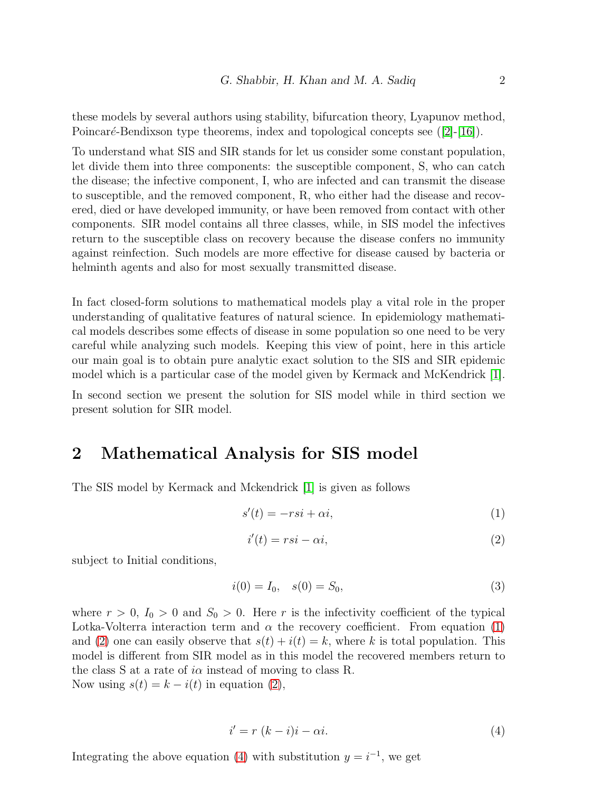these models by several authors using stability, bifurcation theory, Lyapunov method, Poincaré-Bendixson type theorems, index and topological concepts see  $([2]-[16])$  $([2]-[16])$  $([2]-[16])$  $([2]-[16])$  $([2]-[16])$ .

To understand what SIS and SIR stands for let us consider some constant population, let divide them into three components: the susceptible component, S, who can catch the disease; the infective component, I, who are infected and can transmit the disease to susceptible, and the removed component, R, who either had the disease and recovered, died or have developed immunity, or have been removed from contact with other components. SIR model contains all three classes, while, in SIS model the infectives return to the susceptible class on recovery because the disease confers no immunity against reinfection. Such models are more effective for disease caused by bacteria or helminth agents and also for most sexually transmitted disease.

In fact closed-form solutions to mathematical models play a vital role in the proper understanding of qualitative features of natural science. In epidemiology mathematical models describes some effects of disease in some population so one need to be very careful while analyzing such models. Keeping this view of point, here in this article our main goal is to obtain pure analytic exact solution to the SIS and SIR epidemic model which is a particular case of the model given by Kermack and McKendrick [\[1\]](#page-4-0).

In second section we present the solution for SIS model while in third section we present solution for SIR model.

### 2 Mathematical Analysis for SIS model

The SIS model by Kermack and Mckendrick [\[1\]](#page-4-0) is given as follows

<span id="page-1-0"></span>
$$
s'(t) = -rsi + \alpha i,\tag{1}
$$

<span id="page-1-1"></span>
$$
i'(t) = rsi - \alpha i,\tag{2}
$$

subject to Initial conditions,

$$
i(0) = I_0, \quad s(0) = S_0,\tag{3}
$$

where  $r > 0$ ,  $I_0 > 0$  and  $S_0 > 0$ . Here r is the infectivity coefficient of the typical Lotka-Volterra interaction term and  $\alpha$  the recovery coefficient. From equation [\(1\)](#page-1-0) and [\(2\)](#page-1-1) one can easily observe that  $s(t) + i(t) = k$ , where k is total population. This model is different from SIR model as in this model the recovered members return to the class S at a rate of  $i\alpha$  instead of moving to class R. Now using  $s(t) = k - i(t)$  in equation [\(2\)](#page-1-1),

<span id="page-1-2"></span>
$$
i' = r (k - i)i - \alpha i.
$$
 (4)

Integrating the above equation [\(4\)](#page-1-2) with substitution  $y = i^{-1}$ , we get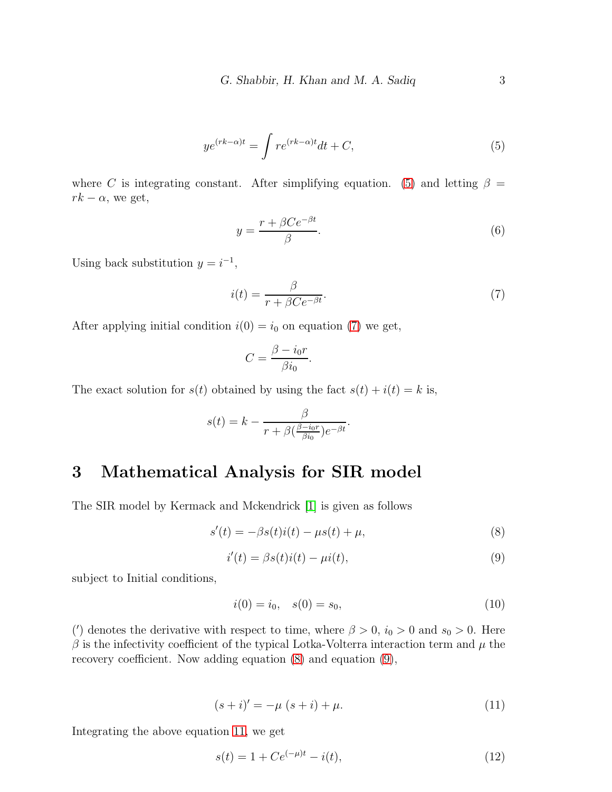<span id="page-2-0"></span>
$$
ye^{(rk-\alpha)t} = \int re^{(rk-\alpha)t}dt + C,
$$
\n(5)

where C is integrating constant. After simplifying equation. [\(5\)](#page-2-0) and letting  $\beta =$  $rk - \alpha$ , we get,

$$
y = \frac{r + \beta Ce^{-\beta t}}{\beta}.\tag{6}
$$

Using back substitution  $y = i^{-1}$ ,

<span id="page-2-1"></span>
$$
i(t) = \frac{\beta}{r + \beta Ce^{-\beta t}}.\tag{7}
$$

After applying initial condition  $i(0) = i_0$  on equation [\(7\)](#page-2-1) we get,

$$
C = \frac{\beta - i_0 r}{\beta i_0}.
$$

The exact solution for  $s(t)$  obtained by using the fact  $s(t) + i(t) = k$  is,

$$
s(t) = k - \frac{\beta}{r + \beta(\frac{\beta - i_0 r}{\beta i_0})e^{-\beta t}}.
$$

#### 3 Mathematical Analysis for SIR model

The SIR model by Kermack and Mckendrick [\[1\]](#page-4-0) is given as follows

<span id="page-2-2"></span>
$$
s'(t) = -\beta s(t)i(t) - \mu s(t) + \mu,
$$
\n(8)

<span id="page-2-3"></span>
$$
i'(t) = \beta s(t)i(t) - \mu i(t),\tag{9}
$$

subject to Initial conditions,

$$
i(0) = i_0, \quad s(0) = s_0,\tag{10}
$$

(') denotes the derivative with respect to time, where  $\beta > 0$ ,  $i_0 > 0$  and  $s_0 > 0$ . Here  $\beta$  is the infectivity coefficient of the typical Lotka-Volterra interaction term and  $\mu$  the recovery coefficient. Now adding equation [\(8\)](#page-2-2) and equation [\(9\)](#page-2-3),

<span id="page-2-4"></span>
$$
(s+i)' = -\mu (s+i) + \mu.
$$
 (11)

Integrating the above equation [11,](#page-2-4) we get

<span id="page-2-5"></span>
$$
s(t) = 1 + Ce^{(-\mu)t} - i(t),
$$
\n(12)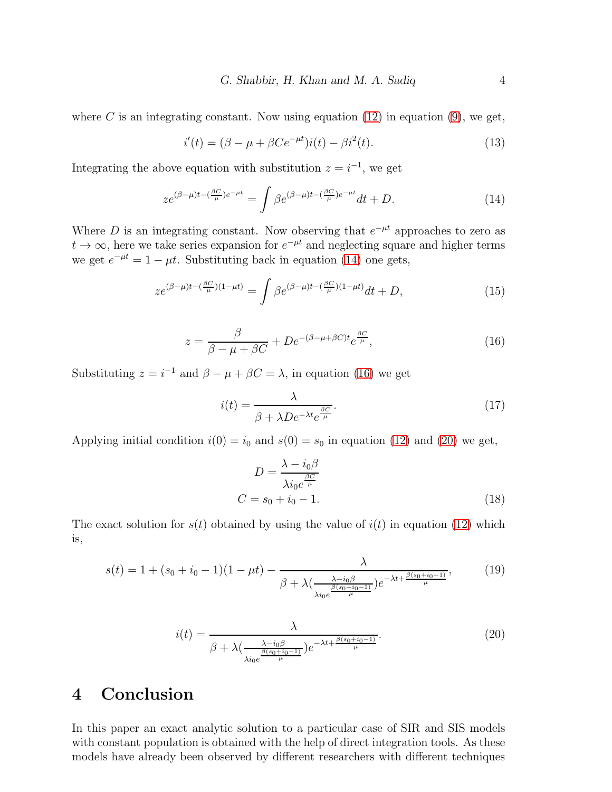where C is an integrating constant. Now using equation  $(12)$  in equation  $(9)$ , we get,

$$
i'(t) = (\beta - \mu + \beta Ce^{-\mu t})i(t) - \beta i^2(t).
$$
 (13)

Integrating the above equation with substitution  $z = i^{-1}$ , we get

<span id="page-3-0"></span>
$$
ze^{(\beta-\mu)t-(\frac{\beta C}{\mu})e^{-\mu t}} = \int \beta e^{(\beta-\mu)t-(\frac{\beta C}{\mu})e^{-\mu t}} dt + D.
$$
 (14)

Where D is an integrating constant. Now observing that  $e^{-\mu t}$  approaches to zero as  $t \to \infty$ , here we take series expansion for  $e^{-\mu t}$  and neglecting square and higher terms we get  $e^{-\mu t} = 1 - \mu t$ . Substituting back in equation [\(14\)](#page-3-0) one gets,

$$
ze^{(\beta-\mu)t-(\frac{\beta C}{\mu})(1-\mu t)} = \int \beta e^{(\beta-\mu)t-(\frac{\beta C}{\mu})(1-\mu t)}dt + D,
$$
\n(15)

<span id="page-3-1"></span>
$$
z = \frac{\beta}{\beta - \mu + \beta C} + De^{-(\beta - \mu + \beta C)t} e^{\frac{\beta C}{\mu}},\tag{16}
$$

Substituting  $z = i^{-1}$  and  $\beta - \mu + \beta C = \lambda$ , in equation [\(16\)](#page-3-1) we get

$$
i(t) = \frac{\lambda}{\beta + \lambda De^{-\lambda t} e^{\frac{\beta C}{\mu}}}.
$$
\n(17)

Applying initial condition  $i(0) = i_0$  and  $s(0) = s_0$  in equation [\(12\)](#page-2-5) and [\(20\)](#page-3-2) we get,

$$
D = \frac{\lambda - i_0 \beta}{\lambda i_0 e^{\frac{\beta C}{\mu}}}
$$
  

$$
C = s_0 + i_0 - 1.
$$
 (18)

The exact solution for  $s(t)$  obtained by using the value of  $i(t)$  in equation [\(12\)](#page-2-5) which is,

$$
s(t) = 1 + (s_0 + i_0 - 1)(1 - \mu t) - \frac{\lambda}{\beta + \lambda \left(\frac{\lambda - i_0 \beta}{\beta (s_0 + i_0 - 1)}\right) e^{-\lambda t + \frac{\beta (s_0 + i_0 - 1)}{\mu}}},\tag{19}
$$

<span id="page-3-2"></span>
$$
i(t) = \frac{\lambda}{\beta + \lambda \left(\frac{\lambda - i_0 \beta}{\frac{\beta (s_0 + i_0 - 1)}{\mu}\right) e^{-\lambda t + \frac{\beta (s_0 + i_0 - 1)}{\mu}}}.
$$
\n(20)

#### 4 Conclusion

In this paper an exact analytic solution to a particular case of SIR and SIS models with constant population is obtained with the help of direct integration tools. As these models have already been observed by different researchers with different techniques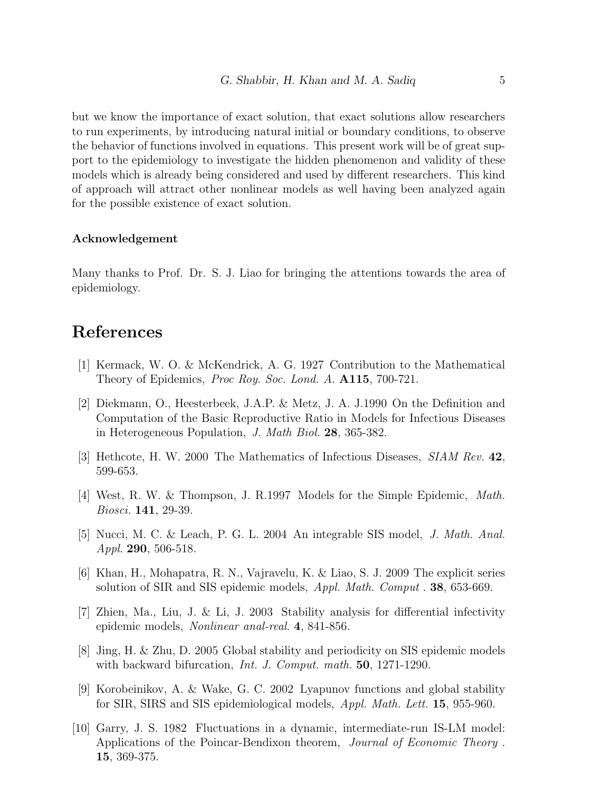but we know the importance of exact solution, that exact solutions allow researchers to run experiments, by introducing natural initial or boundary conditions, to observe the behavior of functions involved in equations. This present work will be of great support to the epidemiology to investigate the hidden phenomenon and validity of these models which is already being considered and used by different researchers. This kind of approach will attract other nonlinear models as well having been analyzed again for the possible existence of exact solution.

#### Acknowledgement

Many thanks to Prof. Dr. S. J. Liao for bringing the attentions towards the area of epidemiology.

### <span id="page-4-0"></span>References

- <span id="page-4-1"></span>[1] Kermack, W. O. & McKendrick, A. G. 1927 Contribution to the Mathematical Theory of Epidemics, *Proc Roy. Soc. Lond. A.* **A115**, 700-721.
- [2] Diekmann, O., Heesterbeek, J.A.P. & Metz, J. A. J.1990 On the Definition and Computation of the Basic Reproductive Ratio in Models for Infectious Diseases in Heterogeneous Population, J. Math Biol. 28, 365-382.
- <span id="page-4-2"></span>[3] Hethcote, H. W. 2000 The Mathematics of Infectious Diseases, SIAM Rev. 42, 599-653.
- <span id="page-4-3"></span>[4] West, R. W. & Thompson, J. R.1997 Models for the Simple Epidemic, Math. Biosci. 141, 29-39.
- <span id="page-4-4"></span>[5] Nucci, M. C. & Leach, P. G. L. 2004 An integrable SIS model, J. Math. Anal. Appl. 290, 506-518.
- [6] Khan, H., Mohapatra, R. N., Vajravelu, K. & Liao, S. J. 2009 The explicit series solution of SIR and SIS epidemic models, *Appl. Math. Comput* . **38**, 653-669.
- [7] Zhien, Ma., Liu, J. & Li, J. 2003 Stability analysis for differential infectivity epidemic models, Nonlinear anal-real. 4, 841-856.
- [8] Jing, H. & Zhu, D. 2005 Global stability and periodicity on SIS epidemic models with backward bifurcation, *Int. J. Comput. math.* **50**, 1271-1290.
- [9] Korobeinikov, A. & Wake, G. C. 2002 Lyapunov functions and global stability for SIR, SIRS and SIS epidemiological models, *Appl. Math. Lett.* **15**, 955-960.
- [10] Garry, J. S. 1982 Fluctuations in a dynamic, intermediate-run IS-LM model: Applications of the Poincar-Bendixon theorem, *Journal of Economic Theory*. 15, 369-375.